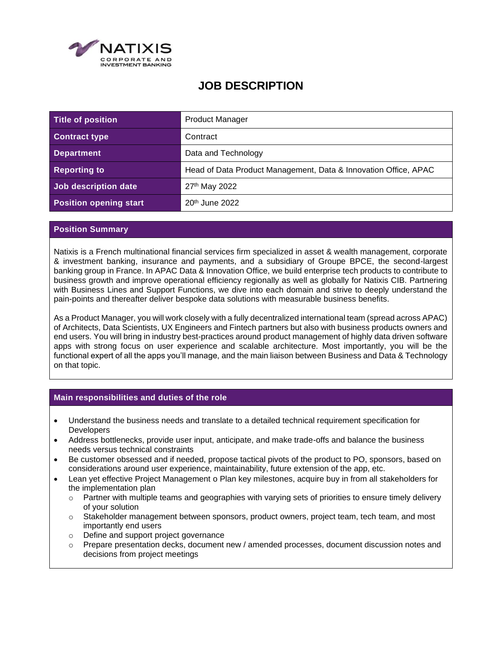

## **JOB DESCRIPTION**

| Title of position             | <b>Product Manager</b>                                          |
|-------------------------------|-----------------------------------------------------------------|
| <b>Contract type</b>          | Contract                                                        |
| <b>Department</b>             | Data and Technology                                             |
| <b>Reporting to</b>           | Head of Data Product Management, Data & Innovation Office, APAC |
| Job description date          | 27 <sup>th</sup> May 2022                                       |
| <b>Position opening start</b> | $20th$ June 2022                                                |

## **Position Summary**

Natixis is a French multinational financial services firm specialized in asset & wealth management, corporate & investment banking, insurance and payments, and a subsidiary of Groupe BPCE, the second-largest banking group in France. In APAC Data & Innovation Office, we build enterprise tech products to contribute to business growth and improve operational efficiency regionally as well as globally for Natixis CIB. Partnering with Business Lines and Support Functions, we dive into each domain and strive to deeply understand the pain-points and thereafter deliver bespoke data solutions with measurable business benefits.

As a Product Manager, you will work closely with a fully decentralized international team (spread across APAC) of Architects, Data Scientists, UX Engineers and Fintech partners but also with business products owners and end users. You will bring in industry best-practices around product management of highly data driven software apps with strong focus on user experience and scalable architecture. Most importantly, you will be the functional expert of all the apps you'll manage, and the main liaison between Business and Data & Technology on that topic.

## **Main responsibilities and duties of the role**

- Understand the business needs and translate to a detailed technical requirement specification for **Developers**
- Address bottlenecks, provide user input, anticipate, and make trade-offs and balance the business needs versus technical constraints
- Be customer obsessed and if needed, propose tactical pivots of the product to PO, sponsors, based on considerations around user experience, maintainability, future extension of the app, etc.
- Lean yet effective Project Management o Plan key milestones, acquire buy in from all stakeholders for the implementation plan
	- $\circ$  Partner with multiple teams and geographies with varying sets of priorities to ensure timely delivery of your solution
	- $\circ$  Stakeholder management between sponsors, product owners, project team, tech team, and most importantly end users
	- o Define and support project governance
	- $\circ$  Prepare presentation decks, document new / amended processes, document discussion notes and decisions from project meetings